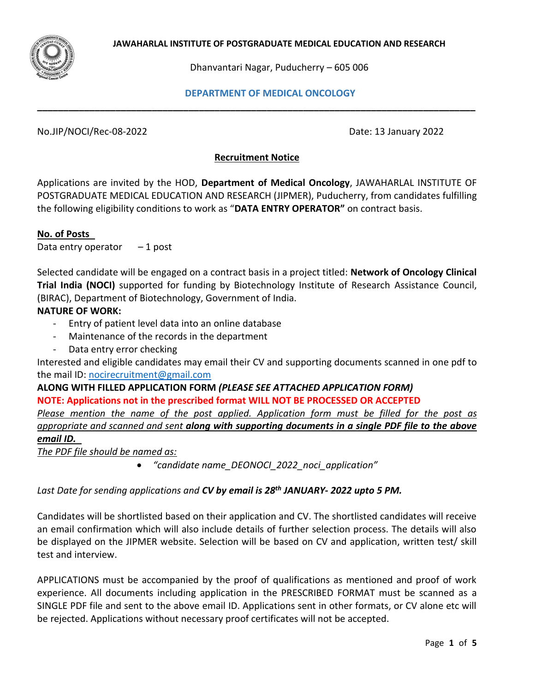

Dhanvantari Nagar, Puducherry – 605 006

#### **DEPARTMENT OF MEDICAL ONCOLOGY**

No.JIP/NOCI/Rec-08-2022 Date: 13 January 2022

### **Recruitment Notice**

**\_\_\_\_\_\_\_\_\_\_\_\_\_\_\_\_\_\_\_\_\_\_\_\_\_\_\_\_\_\_\_\_\_\_\_\_\_\_\_\_\_\_\_\_\_\_\_\_\_\_\_\_\_\_\_\_\_\_\_\_\_\_\_\_\_\_\_\_\_\_\_\_\_\_\_\_\_\_\_\_\_\_\_\_**

Applications are invited by the HOD, **Department of Medical Oncology**, JAWAHARLAL INSTITUTE OF POSTGRADUATE MEDICAL EDUCATION AND RESEARCH (JIPMER), Puducherry, from candidates fulfilling the following eligibility conditions to work as "**DATA ENTRY OPERATOR"** on contract basis.

### **No. of Posts**

Data entry operator  $-1$  post

Selected candidate will be engaged on a contract basis in a project titled: **Network of Oncology Clinical Trial India (NOCI)** supported for funding by Biotechnology Institute of Research Assistance Council, (BIRAC), Department of Biotechnology, Government of India.

### **NATURE OF WORK:**

- Entry of patient level data into an online database
- Maintenance of the records in the department
- Data entry error checking

Interested and eligible candidates may email their CV and supporting documents scanned in one pdf to the mail ID: [nocirecruitment@gmail.com](mailto:nocirecruitment@gmail.com)

**ALONG WITH FILLED APPLICATION FORM** *(PLEASE SEE ATTACHED APPLICATION FORM)* **NOTE: Applications not in the prescribed format WILL NOT BE PROCESSED OR ACCEPTED**  *Please mention the name of the post applied. Application form must be filled for the post as appropriate and scanned and sent along with supporting documents in a single PDF file to the above email ID.* 

*The PDF file should be named as:*

• *"candidate name\_DEONOCI\_2022\_noci\_application"*

### *Last Date for sending applications and CV by email is 28th JANUARY- 2022 upto 5 PM.*

Candidates will be shortlisted based on their application and CV. The shortlisted candidates will receive an email confirmation which will also include details of further selection process. The details will also be displayed on the JIPMER website. Selection will be based on CV and application, written test/ skill test and interview.

APPLICATIONS must be accompanied by the proof of qualifications as mentioned and proof of work experience. All documents including application in the PRESCRIBED FORMAT must be scanned as a SINGLE PDF file and sent to the above email ID. Applications sent in other formats, or CV alone etc will be rejected. Applications without necessary proof certificates will not be accepted.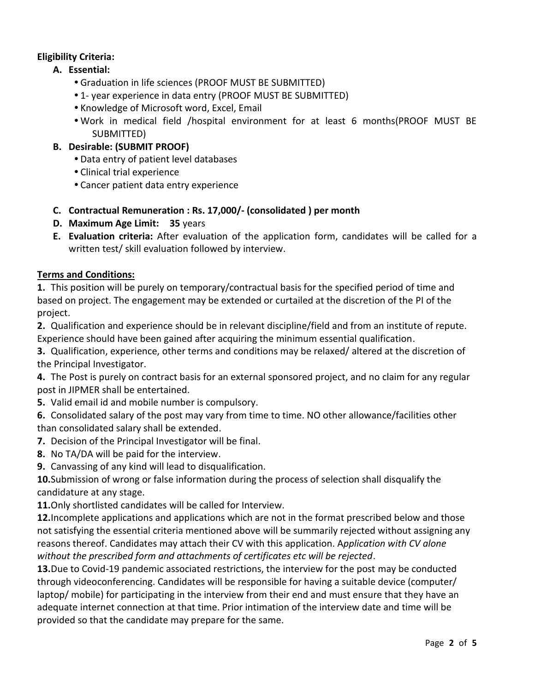## **Eligibility Criteria:**

- **A. Essential:**
	- Graduation in life sciences (PROOF MUST BE SUBMITTED)
	- 1- year experience in data entry (PROOF MUST BE SUBMITTED)
	- Knowledge of Microsoft word, Excel, Email
	- Work in medical field /hospital environment for at least 6 months(PROOF MUST BE SUBMITTED)
- **B. Desirable: (SUBMIT PROOF)**
	- Data entry of patient level databases
	- Clinical trial experience
	- Cancer patient data entry experience
- **C. Contractual Remuneration : Rs. 17,000/- (consolidated ) per month**
- **D. Maximum Age Limit: 35** years
- **E. Evaluation criteria:** After evaluation of the application form, candidates will be called for a written test/ skill evaluation followed by interview.

## **Terms and Conditions:**

**1.** This position will be purely on temporary/contractual basis for the specified period of time and based on project. The engagement may be extended or curtailed at the discretion of the PI of the project.

**2.** Qualification and experience should be in relevant discipline/field and from an institute of repute. Experience should have been gained after acquiring the minimum essential qualification.

**3.** Qualification, experience, other terms and conditions may be relaxed/ altered at the discretion of the Principal Investigator.

**4.** The Post is purely on contract basis for an external sponsored project, and no claim for any regular post in JIPMER shall be entertained.

**5.** Valid email id and mobile number is compulsory.

**6.** Consolidated salary of the post may vary from time to time. NO other allowance/facilities other than consolidated salary shall be extended.

- **7.** Decision of the Principal Investigator will be final.
- **8.** No TA/DA will be paid for the interview.
- **9.** Canvassing of any kind will lead to disqualification.

**10.**Submission of wrong or false information during the process of selection shall disqualify the candidature at any stage.

**11.**Only shortlisted candidates will be called for Interview.

**12.**Incomplete applications and applications which are not in the format prescribed below and those not satisfying the essential criteria mentioned above will be summarily rejected without assigning any reasons thereof. Candidates may attach their CV with this application. A*pplication with CV alone without the prescribed form and attachments of certificates etc will be rejected*.

**13.**Due to Covid-19 pandemic associated restrictions, the interview for the post may be conducted through videoconferencing. Candidates will be responsible for having a suitable device (computer/ laptop/ mobile) for participating in the interview from their end and must ensure that they have an adequate internet connection at that time. Prior intimation of the interview date and time will be provided so that the candidate may prepare for the same.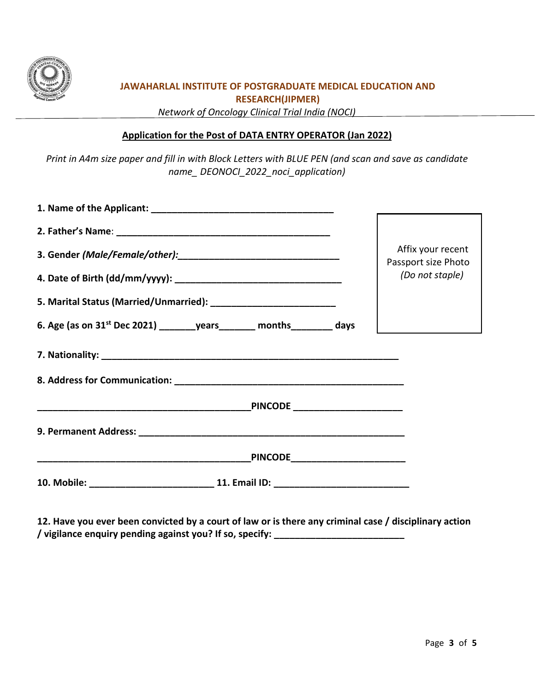

# **JAWAHARLAL INSTITUTE OF POSTGRADUATE MEDICAL EDUCATION AND RESEARCH(JIPMER)**

*Network of Oncology Clinical Trial India (NOCI)* 

### **Application for the Post of DATA ENTRY OPERATOR (Jan 2022)**

*Print in A4m size paper and fill in with Block Letters with BLUE PEN (and scan and save as candidate name\_ DEONOCI\_2022\_noci\_application)*

|                                                                                       | Affix your recent<br>Passport size Photo |
|---------------------------------------------------------------------------------------|------------------------------------------|
|                                                                                       | (Do not staple)                          |
|                                                                                       |                                          |
| 6. Age (as on 31 <sup>st</sup> Dec 2021) _________ years _______ months ________ days |                                          |
|                                                                                       |                                          |
|                                                                                       |                                          |
|                                                                                       |                                          |
|                                                                                       |                                          |
|                                                                                       |                                          |
| 10. Mobile: _____________________________ 11. Email ID: ________________________      |                                          |

**12. Have you ever been convicted by a court of law or is there any criminal case / disciplinary action / vigilance enquiry pending against you? If so, specify: \_\_\_\_\_\_\_\_\_\_\_\_\_\_\_\_\_\_\_\_\_\_\_\_\_**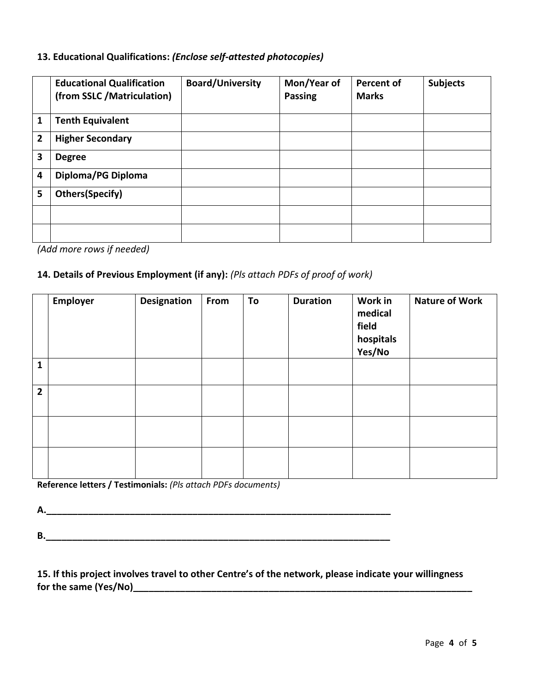## **13. Educational Qualifications:** *(Enclose self-attested photocopies)*

|   | <b>Educational Qualification</b><br>(from SSLC /Matriculation) | <b>Board/University</b> | Mon/Year of<br><b>Passing</b> | <b>Percent of</b><br><b>Marks</b> | <b>Subjects</b> |
|---|----------------------------------------------------------------|-------------------------|-------------------------------|-----------------------------------|-----------------|
| 1 | <b>Tenth Equivalent</b>                                        |                         |                               |                                   |                 |
| 2 | <b>Higher Secondary</b>                                        |                         |                               |                                   |                 |
| 3 | <b>Degree</b>                                                  |                         |                               |                                   |                 |
| 4 | Diploma/PG Diploma                                             |                         |                               |                                   |                 |
| 5 | Others(Specify)                                                |                         |                               |                                   |                 |
|   |                                                                |                         |                               |                                   |                 |
|   |                                                                |                         |                               |                                   |                 |

*(Add more rows if needed)*

## **14. Details of Previous Employment (if any):** *(Pls attach PDFs of proof of work)*

|                | Employer | <b>Designation</b> | From | To | <b>Duration</b> | Work in<br>medical<br>field<br>hospitals<br>Yes/No | <b>Nature of Work</b> |
|----------------|----------|--------------------|------|----|-----------------|----------------------------------------------------|-----------------------|
| $\mathbf{1}$   |          |                    |      |    |                 |                                                    |                       |
| $\overline{2}$ |          |                    |      |    |                 |                                                    |                       |
|                |          |                    |      |    |                 |                                                    |                       |
|                |          |                    |      |    |                 |                                                    |                       |

**Reference letters / Testimonials:** *(Pls attach PDFs documents)*

**A.\_\_\_\_\_\_\_\_\_\_\_\_\_\_\_\_\_\_\_\_\_\_\_\_\_\_\_\_\_\_\_\_\_\_\_\_\_\_\_\_\_\_\_\_\_\_\_\_\_\_\_\_\_\_\_\_\_\_\_\_\_\_\_\_\_\_**

**B.\_\_\_\_\_\_\_\_\_\_\_\_\_\_\_\_\_\_\_\_\_\_\_\_\_\_\_\_\_\_\_\_\_\_\_\_\_\_\_\_\_\_\_\_\_\_\_\_\_\_\_\_\_\_\_\_\_\_\_\_\_\_\_\_\_\_**

**15. If this project involves travel to other Centre's of the network, please indicate your willingness for the same (Yes/No)\_\_\_\_\_\_\_\_\_\_\_\_\_\_\_\_\_\_\_\_\_\_\_\_\_\_\_\_\_\_\_\_\_\_\_\_\_\_\_\_\_\_\_\_\_\_\_\_\_\_\_\_\_\_\_\_\_\_\_\_\_\_\_\_\_**